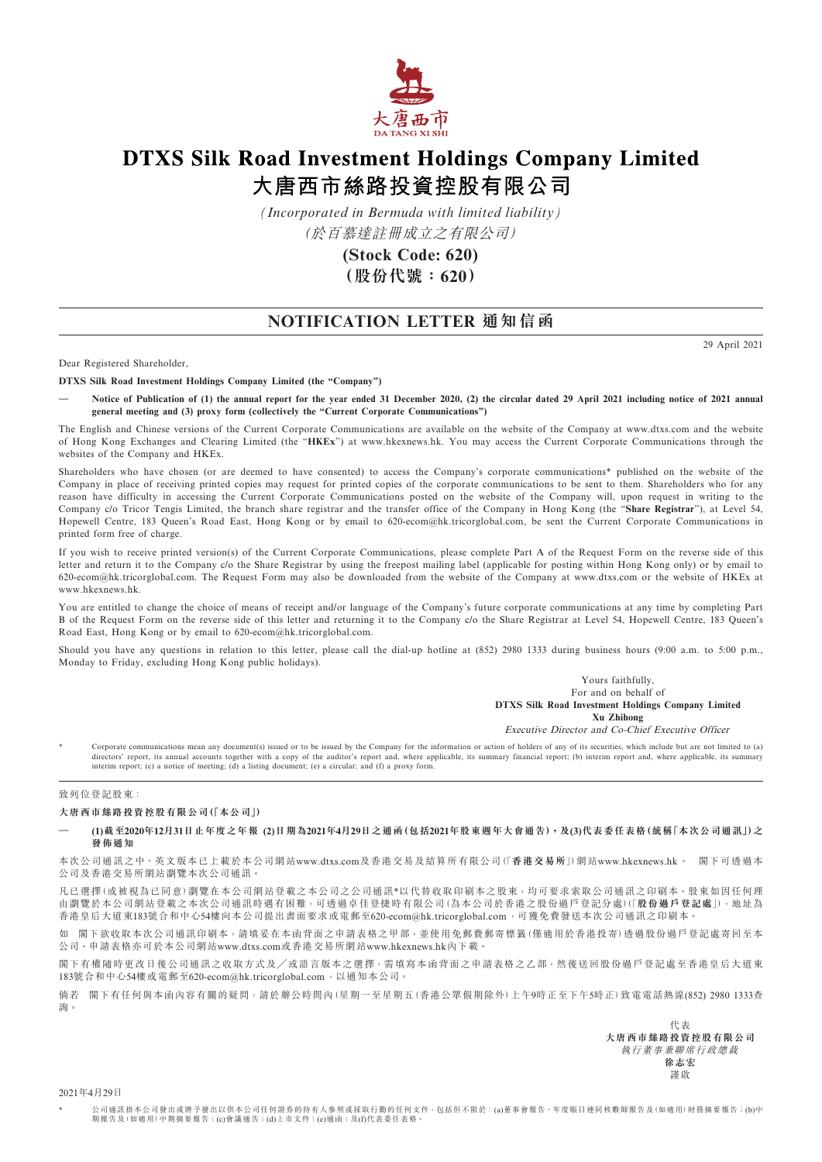

## **DTXS Silk Road Investment Holdings Company Limited** 大唐西市絲路投資控股有限公司

*(Incorporated in Bermuda with limited liability)*

(於百慕達註冊成立之有限公司)

**(Stock Code: 620) (股份代號:620)**

## **NOTIFICATION LETTER 通知信函**

29 April 2021

Dear Registered Shareholder,

**DTXS Silk Road Investment Holdings Company Limited (the "Company")**

**— Notice of Publication of (1) the annual report for the year ended 31 December 2020, (2) the circular dated 29 April 2021 including notice of 2021 annual general meeting and (3) proxy form (collectively the "Current Corporate Communications")**

The English and Chinese versions of the Current Corporate Communications are available on the website of the Company at www.dtxs.com and the website of Hong Kong Exchanges and Clearing Limited (the "**HKEx**") at www.hkexnews.hk. You may access the Current Corporate Communications through the websites of the Company and HKEx.

Shareholders who have chosen (or are deemed to have consented) to access the Company's corporate communications\* published on the website of the Company in place of receiving printed copies may request for printed copies of the corporate communications to be sent to them. Shareholders who for any reason have difficulty in accessing the Current Corporate Communications posted on the website of the Company will, upon request in writing to the Company c/o Tricor Tengis Limited, the branch share registrar and the transfer office of the Company in Hong Kong (the "**Share Registrar**"), at Level 54, Hopewell Centre, 183 Queen's Road East, Hong Kong or by email to 620-ecom@hk.tricorglobal.com, be sent the Current Corporate Communications in printed form free of charge.

If you wish to receive printed version(s) of the Current Corporate Communications, please complete Part A of the Request Form on the reverse side of this letter and return it to the Company c/o the Share Registrar by using the freepost mailing label (applicable for posting within Hong Kong only) or by email to 620-ecom@hk.tricorglobal.com. The Request Form may also be downloaded from the website of the Company at www.dtxs.com or the website of HKEx at www.hkexnews.hk.

You are entitled to change the choice of means of receipt and/or language of the Company's future corporate communications at any time by completing Part B of the Request Form on the reverse side of this letter and returning it to the Company c/o the Share Registrar at Level 54, Hopewell Centre, 183 Queen's Road East, Hong Kong or by email to 620-ecom@hk.tricorglobal.com.

Should you have any questions in relation to this letter, please call the dial-up hotline at (852) 2980 1333 during business hours (9:00 a.m. to 5:00 p.m., Monday to Friday, excluding Hong Kong public holidays).

> Yours faithfully, For and on behalf of **DTXS Silk Road Investment Holdings Company Limited Xu Zhihong** Executive Director and Co-Chief Executive Officer

Corporate communications mean any document(s) issued or to be issued by the Company for the information or action of holders of any of its securities, which include but are not limited to (a) directors' report, its annual accounts together with a copy of the auditor's report and, where applicable, its summary financial report; (b) interim report and, where applicable, its summary<br>interim report; (c) a notice of

## 致列位登記股東:

## **大唐西市絲路投資控股有限公司(「本公司」)**

(1)截至2020年12月31日止年度之年報 (2)日期為2021年4月29日之通函(包括2021年股東週年大會通告),及(3)代表委任表格(統稱「本次公司通訊」)之 **發佈通知**

本次公司通訊之中、英文版本已上載於本公司網站<www.dtxs.com>及香港交易及結算所有限公司(「**香港交易所**」)網站<www.hkexnews.hk>。 閣下可透過本 公司及香港交易所網站瀏覽本次公司通訊。

凡已選擇(或被視為已同意)瀏覽在本公司網站登載之本公司之公司通訊\*以代替收取印刷本之股東,均可要求索取公司通訊之印刷本。股東如因任何理 由瀏覽於本公司網站登載之本次公司通訊時遇有困難,可透過卓佳登捷時有限公司(為本公司於香港之股份過戶登記分處)(「**股份過戶登記處**」),地址為 香港皇后大道東183號合和中心54樓向本公司提出書面要求或電郵至620-ecom@hk.tricorglobal.com,可獲免費發送本次公司通訊之印刷本。

如 閣下欲收取本次公司通訊印刷本,請填妥在本函背面之申請表格之甲部,並使用免郵費郵寄標籤(僅適用於香港投寄)透過股份過戶登記處寄回至本 公司。申請表格亦可於本公司網站<www.dtxs.com>或香港交易所網站<www.hkexnews.hk>內下載。

閣下有權隨時更改日後公司通訊之收取方式及╱或語言版本之選擇,需填寫本函背面之申請表格之乙部,然後送回股份過戶登記處至香港皇后大道東 183號合和中心54樓或電郵至620-ecom@hk.tricorglobal.com,以通知本公司。

倘若 閣下有任何與本函內容有關的疑問,請於辦公時間內(星期一至星期五(香港公眾假期除外)上午9時正至下午5時正)致電電話熱線(852) 2980 1333查 詢。

> 代表 **大唐西市絲路投資控股有限公司** 執行董事兼聯席行政總裁 **徐志宏** 謹啟

2021年4月29日

\* 公司通訊指本公司發出或將予發出以供本公司任何證券的持有人參照或採取行動的任何文件,包括但不限於:(a)董事會報告、年度賬目連同核數師報告及(如適用)財務摘要報告;(b)中 期報告及(如適用)中期摘要報告;(c)會議通告;(d)上市文件;(e)通函;及(f)代表委任表格。